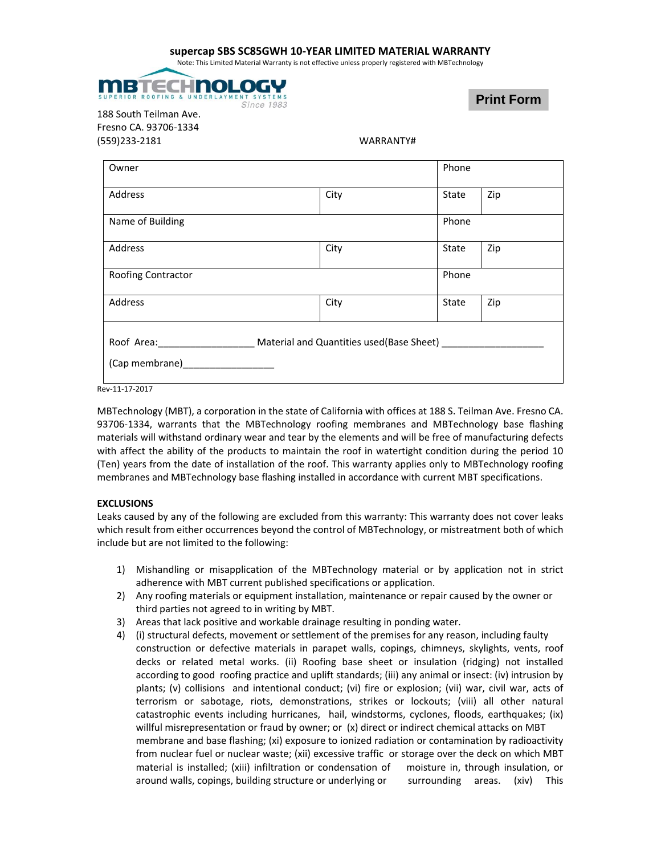## **supercap SBS SC85GWH 10‐YEAR LIMITED MATERIAL WARRANTY**

Note: This Limited Material Warranty is not effective unless properly registered with MBTechnology



188 South Teilman Ave. Fresno CA. 93706‐1334 (559)233‐2181 WARRANTY#

|      | Phone |                                          |
|------|-------|------------------------------------------|
| City | State | Zip                                      |
|      | Phone |                                          |
| City | State | Zip                                      |
|      | Phone |                                          |
| City | State | Zip                                      |
|      |       |                                          |
|      |       | Material and Quantities used(Base Sheet) |

Rev‐11‐17‐2017

MBTechnology (MBT), a corporation in the state of California with offices at 188 S. Teilman Ave. Fresno CA. 93706-1334, warrants that the MBTechnology roofing membranes and MBTechnology base flashing materials will withstand ordinary wear and tear by the elements and will be free of manufacturing defects with affect the ability of the products to maintain the roof in watertight condition during the period 10 (Ten) years from the date of installation of the roof. This warranty applies only to MBTechnology roofing membranes and MBTechnology base flashing installed in accordance with current MBT specifications.

## **EXCLUSIONS**

Leaks caused by any of the following are excluded from this warranty: This warranty does not cover leaks which result from either occurrences beyond the control of MBTechnology, or mistreatment both of which include but are not limited to the following:

- 1) Mishandling or misapplication of the MBTechnology material or by application not in strict adherence with MBT current published specifications or application.
- 2) Any roofing materials or equipment installation, maintenance or repair caused by the owner or third parties not agreed to in writing by MBT.
- 3) Areas that lack positive and workable drainage resulting in ponding water.
- 4) (i) structural defects, movement or settlement of the premises for any reason, including faulty construction or defective materials in parapet walls, copings, chimneys, skylights, vents, roof decks or related metal works. (ii) Roofing base sheet or insulation (ridging) not installed according to good roofing practice and uplift standards; (iii) any animal or insect: (iv) intrusion by plants; (v) collisions and intentional conduct; (vi) fire or explosion; (vii) war, civil war, acts of terrorism or sabotage, riots, demonstrations, strikes or lockouts; (viii) all other natural catastrophic events including hurricanes, hail, windstorms, cyclones, floods, earthquakes; (ix) willful misrepresentation or fraud by owner; or (x) direct or indirect chemical attacks on MBT membrane and base flashing; (xi) exposure to ionized radiation or contamination by radioactivity from nuclear fuel or nuclear waste; (xii) excessive traffic or storage over the deck on which MBT material is installed; (xiii) infiltration or condensation of moisture in, through insulation, or around walls, copings, building structure or underlying or surrounding areas. (xiv) This